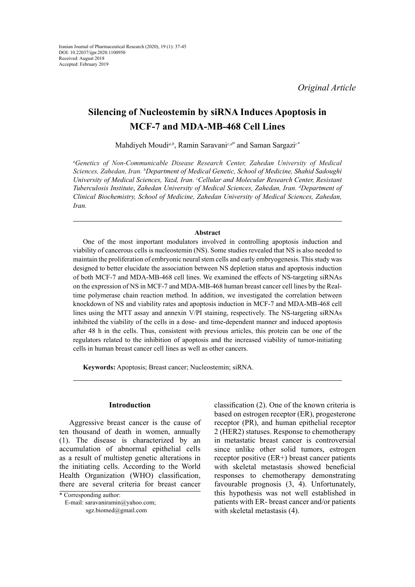# **Silencing of Nucleostemin by siRNA Induces Apoptosis in MCF-7 and MDA-MB-468 Cell Lines**

Mahdiyeh Moudi*a,b*, Ramin Saravani*c,d\** and Saman Sargazi*c\**

*a Genetics of Non-Communicable Disease Research Center, Zahedan University of Medical Sciences, Zahedan, Iran. b Department of Medical Genetic, School of Medicine, Shahid Sadoughi University of Medical Sciences, Yazd, Iran. c Cellular and Molecular Research Center, Resistant Tuberculosis Institute*, *Zahedan University of Medical Sciences, Zahedan, Iran. d Department of Clinical Biochemistry, School of Medicine, Zahedan University of Medical Sciences, Zahedan, Iran.*

## **Abstract**

One of the most important modulators involved in controlling apoptosis induction and viability of cancerous cells is nucleostemin (NS). Some studies revealed that NS is also needed to maintain the proliferation of embryonic neural stem cells and early embryogenesis. This study was designed to better elucidate the association between NS depletion status and apoptosis induction of both MCF-7 and MDA-MB-468 cell lines. We examined the effects of NS-targeting siRNAs on the expression of NS in MCF-7 and MDA-MB-468 human breast cancer cell lines by the Realtime polymerase chain reaction method. In addition, we investigated the correlation between knockdown of NS and viability rates and apoptosis induction in MCF-7 and MDA-MB-468 cell lines using the MTT assay and annexin V/PI staining, respectively. The NS-targeting siRNAs inhibited the viability of the cells in a dose- and time-dependent manner and induced apoptosis after 48 h in the cells. Thus, consistent with previous articles, this protein can be one of the regulators related to the inhibition of apoptosis and the increased viability of tumor-initiating cells in human breast cancer cell lines as well as other cancers.

**Keywords:** Apoptosis; Breast cancer; Nucleostemin; siRNA.

### **Introduction**

Aggressive breast cancer is the cause of ten thousand of death in women, annually (1). The disease is characterized by an accumulation of abnormal epithelial cells as a result of multistep genetic alterations in the initiating cells. According to the World Health Organization (WHO) classification, there are several criteria for breast cancer

 E-mail: [saravaniramin@yahoo.com](mailto:saravaniramin@yahoo.com); [sgz.biomed@gmail.com](mailto:sgz.biomed@gmail.com)

classification (2). One of the known criteria is based on estrogen receptor (ER), progesterone receptor (PR), and human epithelial receptor 2 (HER2) statuses. Response to chemotherapy in metastatic breast cancer is controversial since unlike other solid tumors, estrogen receptor positive (ER+) breast cancer patients with skeletal metastasis showed beneficial responses to chemotherapy demonstrating favourable prognosis (3, 4). Unfortunately, this hypothesis was not well established in patients with ER- breast cancer and/or patients with skeletal metastasis (4).

<sup>\*</sup> Corresponding author: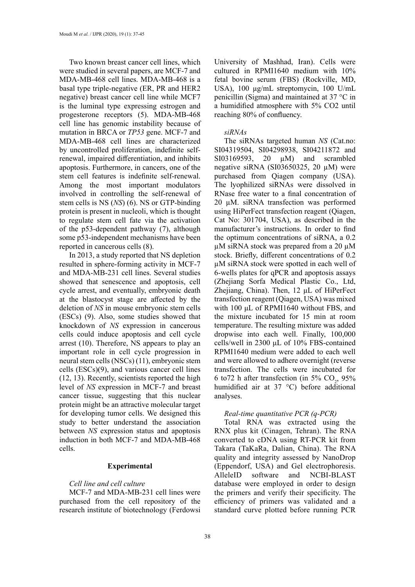Two known breast cancer cell lines, which were studied in several papers, are MCF-7 and MDA-MB-468 cell lines. MDA-MB-468 is a basal type triple-negative (ER, PR and HER2 negative) breast cancer cell line while MCF7 is the luminal type expressing estrogen and progesterone receptors (5). MDA-MB-468 cell line has genomic instability because of mutation in BRCA or *TP53* gene. MCF-7 and MDA-MB-468 cell lines are characterized by uncontrolled proliferation, indefinite selfrenewal, impaired differentiation, and inhibits apoptosis. Furthermore, in cancers, one of the stem cell features is indefinite self-renewal. Among the most important modulators involved in controlling the self-renewal of stem cells is NS (*NS*) (6). NS or GTP-binding protein is present in nucleoli, which is thought to regulate stem cell fate via the activation of the p53-dependent pathway (7), although some p53-independent mechanisms have been reported in cancerous cells (8).

In 2013, a study reported that NS depletion resulted in sphere-forming activity in MCF-7 and MDA-MB-231 cell lines. Several studies showed that senescence and apoptosis, cell cycle arrest, and eventually, embryonic death at the blastocyst stage are affected by the deletion of *NS* in mouse embryonic stem cells (ESCs) (9). Also, some studies showed that knockdown of *NS* expression in cancerous cells could induce apoptosis and cell cycle arrest (10). Therefore, NS appears to play an important role in cell cycle progression in neural stem cells (NSCs) (11), embryonic stem cells (ESCs)(9), and various cancer cell lines (12, 13). Recently, scientists reported the high level of *NS* expression in MCF-7 and breast cancer tissue, suggesting that this nuclear protein might be an attractive molecular target for developing tumor cells. We designed this study to better understand the association between *NS* expression status and apoptosis induction in both MCF-7 and MDA-MB-468 cells.

## **Experimental**

## *Cell line and cell culture*

MCF-7 and MDA-MB-231 cell lines were purchased from the cell repository of the research institute of biotechnology (Ferdowsi University of Mashhad, Iran). Cells were cultured in RPMI1640 medium with 10% fetal bovine serum (FBS) (Rockville, MD, USA), 100 μg/mL streptomycin, 100 U/mL penicillin (Sigma) and maintained at 37 °C in a humidified atmosphere with 5% CO2 until reaching 80% of confluency.

#### *siRNAs*

The siRNAs targeted human *NS* (Cat.no: SI04319504, SI04298938, SI04211872 and SI03169593, 20 µM) and scrambled negative siRNA (SI03650325, 20 µM) were purchased from Qiagen company (USA). The lyophilized siRNAs were dissolved in RNase free water to a final concentration of 20 µM. siRNA transfection was performed using HiPerFect transfection reagent (Qiagen, Cat No: 301704, USA), as described in the manufacturer's instructions. In order to find the optimum concentrations of siRNA, a 0.2  $\mu$ M siRNA stock was prepared from a 20  $\mu$ M stock. Briefly, different concentrations of 0.2 µM siRNA stock were spotted in each well of 6-wells plates for qPCR and apoptosis assays (Zhejiang Sorfa Medical Plastic Co., Ltd, Zhejiang, China). Then, 12 μL of HiPerFect transfection reagent (Qiagen, USA) was mixed with 100 μL of RPMI1640 without FBS, and the mixture incubated for 15 min at room temperature. The resulting mixture was added dropwise into each well. Finally, 100,000 cells/well in 2300 μL of 10% FBS-contained RPMI1640 medium were added to each well and were allowed to adhere overnight (reverse transfection. The cells were incubated for 6 to 72 h after transfection (in 5%  $CO_2$ , 95% humidified air at 37 °C) before additional analyses.

## *Real-time quantitative PCR (q-PCR)*

Total RNA was extracted using the RNX plus kit (Cinagen, Tehran). The RNA converted to cDNA using RT-PCR kit from Takara (TaKaRa, Dalian, China). The RNA quality and integrity assessed by NanoDrop (Eppendorf, USA) and Gel electrophoresis. AlleleID software and NCBI-BLAST database were employed in order to design the primers and verify their specificity. The efficiency of primers was validated and a standard curve plotted before running PCR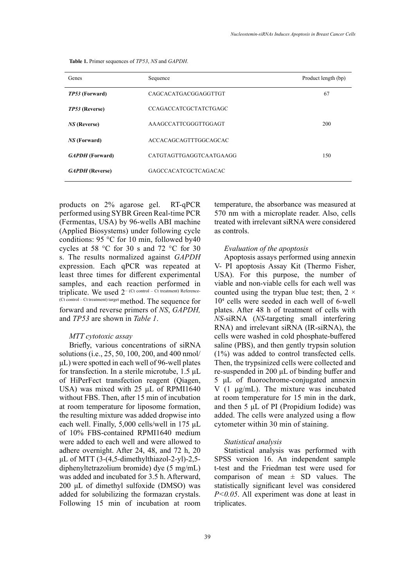| Genes                  | Sequence                     | Product length (bp) |
|------------------------|------------------------------|---------------------|
| TP53 (Forward)         | CAGCACATGACGGAGGTTGT         | 67                  |
| TP53 (Reverse)         | <b>CCAGACCATCGCTATCTGAGC</b> |                     |
| <b>NS</b> (Reverse)    | AAAGCCATTCGGGTTGGAGT         | 200                 |
| <i>NS</i> (Forward)    | ACCACAGCAGTTTGGCAGCAC        |                     |
| <b>GAPDH</b> (Forward) | CATGTAGTTGAGGTCAATGAAGG      | 150                 |
| <b>GAPDH</b> (Reverse) | GAGCCACATCGCTCAGACAC         |                     |

**Table 1.** Primer sequences of *TP53*, *NS* and *GAPDH*. **Table 1.** Primer sequences of *TP53*, *NS* and *GAPDH*.

products on 2% agarose gel. RT-qPCR performed using SYBR Green Real-time PCR (Fermentas, USA) by 96-wells ABI machine (Applied Biosystems) under following cycle conditions: 95 °C for 10 min, followed by40 cycles at 58 °C for 30 s and 72 °C for 30 s. The results normalized against *GAPDH* expression. Each qPCR was repeated at least three times for different experimental samples, and each reaction performed in triplicate. We used 2− (Ct control – Ct treatment) Reference- (Ct control – Ct treatment) target method. The sequence for forward and reverse primers of *NS*, *GAPDH,* and *TP53* are shown in *Table 1*.

#### *MTT cytotoxic assay*

Briefly, various concentrations of siRNA solutions (i.e., 25, 50, 100, 200, and 400 nmol/ μL) were spotted in each well of 96-well plates for transfection. In a sterile microtube, 1.5 μL of HiPerFect transfection reagent (Qiagen, USA) was mixed with 25 μL of RPMI1640 without FBS. Then, after 15 min of incubation at room temperature for liposome formation, the resulting mixture was added dropwise into each well. Finally, 5,000 cells/well in 175 μL of 10% FBS-contained RPMI1640 medium were added to each well and were allowed to adhere overnight. After 24, 48, and 72 h, 20 μL of MTT  $(3-(4,5\t-dimethylthiazol-2-yl)-2,5$ diphenyltetrazolium bromide) dye (5 mg/mL) was added and incubated for 3.5 h. Afterward, 200 μL of dimethyl sulfoxide (DMSO) was added for solubilizing the formazan crystals. Following 15 min of incubation at room temperature, the absorbance was measured at 570 nm with a microplate reader. Also, cells treated with irrelevant siRNA were considered as controls.

#### *Evaluation of the apoptosis*

Apoptosis assays performed using annexin V- PI apoptosis Assay Kit (Thermo Fisher, USA). For this purpose, the number of viable and non-viable cells for each well was counted using the trypan blue test; then,  $2 \times$ 104 cells were seeded in each well of 6-well plates. After 48 h of treatment of cells with *NS*-siRNA (*NS*-targeting small interfering RNA) and irrelevant siRNA (IR-siRNA), the cells were washed in cold phosphate-buffered saline (PBS), and then gently trypsin solution (1%) was added to control transfected cells. Then, the trypsinized cells were collected and re-suspended in 200 μL of binding buffer and 5 μL of fluorochrome-conjugated annexin V (1 μg/mL). The mixture was incubated at room temperature for 15 min in the dark, and then 5 μL of PI (Propidium Iodide) was added. The cells were analyzed using a flow cytometer within 30 min of staining.

#### *Statistical analysis*

Statistical analysis was performed with SPSS version 16. An independent sample t-test and the Friedman test were used for comparison of mean  $\pm$  SD values. The statistically significant level was considered *P<0.05*. All experiment was done at least in triplicates.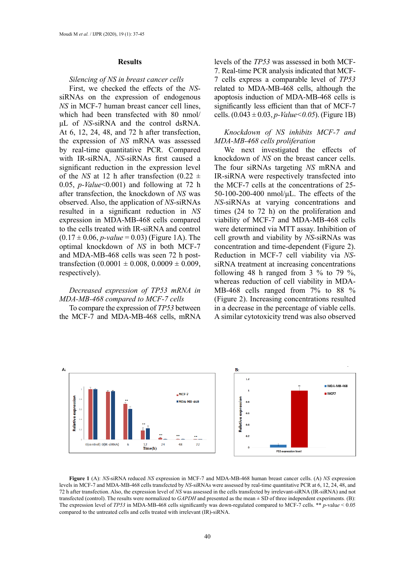#### **Results**

#### *Silencing of NS in breast cancer cells*

First, we checked the effects of the *NS*siRNAs on the expression of endogenous *NS* in MCF-7 human breast cancer cell lines, which had been transfected with 80 nmol/ μL of *NS*-siRNA and the control dsRNA. At 6, 12, 24, 48, and 72 h after transfection, the expression of *NS* mRNA was assessed by real-time quantitative PCR. Compared with IR-siRNA, *NS*-siRNAs first caused a significant reduction in the expression level of the *NS* at 12 h after transfection  $(0.22 \pm 1)$ 0.05, *p-Value*<0.001) and following at 72 h after transfection, the knockdown of *NS* was observed. Also, the application of *NS*-siRNAs resulted in a significant reduction in *NS* expression in MDA-MB-468 cells compared to the cells treated with IR-siRNA and control  $(0.17 \pm 0.06, p-value = 0.03)$  (Figure 1A). The optimal knockdown of *NS* in both MCF-7 and MDA-MB-468 cells was seen 72 h posttransfection  $(0.0001 \pm 0.008, 0.0009 \pm 0.009,$ respectively).

# *Decreased expression of TP53 mRNA in MDA-MB-468 compared to MCF-7 cells*

To compare the expression of *TP53* between the MCF-7 and MDA-MB-468 cells, mRNA

levels of the *TP53* was assessed in both MCF-7. Real-time PCR analysis indicated that MCF-7 cells express a comparable level of *TP53*  related to MDA-MB-468 cells, although the apoptosis induction of MDA-MB-468 cells is significantly less efficient than that of MCF-7 cells.  $(0.043 \pm 0.03, p-Value < 0.05)$ . (Figure 1B)

## *Knockdown of NS inhibits MCF-7 and MDA-MB-468 cells proliferation*

We next investigated the effects of knockdown of *NS* on the breast cancer cells. The four siRNAs targeting *NS* mRNA and IR-siRNA were respectively transfected into the MCF-7 cells at the concentrations of 25- 50-100-200-400 nmol/μL. The effects of the *NS*-siRNAs at varying concentrations and times (24 to 72 h) on the proliferation and viability of MCF-7 and MDA-MB-468 cells were determined via MTT assay. Inhibition of cell growth and viability by *NS*-siRNAs was concentration and time-dependent (Figure 2). Reduction in MCF-7 cell viability via *NS*siRNA treatment at increasing concentrations following 48 h ranged from 3  $\%$  to 79  $\%$ , whereas reduction of cell viability in MDA-MB-468 cells ranged from 7% to 88 % (Figure 2). Increasing concentrations resulted in a decrease in the percentage of viable cells. A similar cytotoxicity trend was also observed



Figure 1 (A): NS-siRNA reduced NS expression in MCF-7 and MDA-MB-468 human breast cancer cells. (A) NS expression revels in MCF-7 and MDA-MB-408 cells transfected by NS-siKNAs were assessed by real-time quantitative PCK at 6, 12, 24, 48, and<br>72 h after transfection. Also, the expression level of NS was assessed in the cells transfecte transfected (control). The results were normalized to  $GAPDH$  and presented as the mean  $\pm$  SD of three independent experiments. (B): compared to the untreated cells and cells treated with irrelevant (IR)-siRNA. levels in MCF-7 and MDA-MB-468 cells transfected by *NS*-siRNAs were assessed by real-time quantitative PCR at 6, 12, 24, 48, and The expression level of *TP53* in MDA-MB-468 cells significantly was down-regulated compared to MCF-7 cells. \*\* *p-*valu*e* < 0.05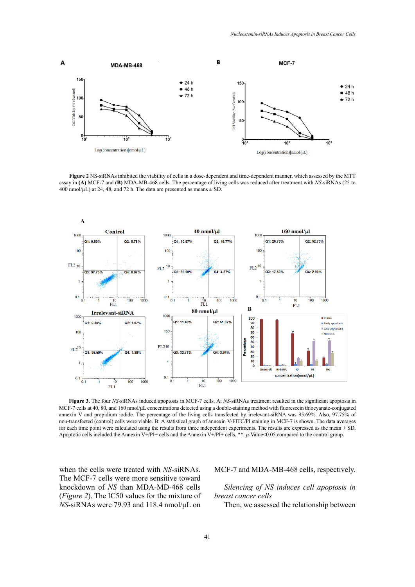

Figure 2 NS-siRNAs inhibited the viability of cells in a dose-dependent and time-dependent manner, which assessed by the MTT  $\frac{d}{dt}$  assay in  $(X)$  MCF-7 and **(B)** MDA-MB-468 cells. The percentage of living cells was reduced after treatment while NB sheets (25 to 400 nmol/ $\mu$ L) at 24, 48, and 72 h. The data are presented as means  $\pm$  SD. assay in **(A)** MCF-7 and **(B)** MDA-MB-468 cells. The percentage of living cells was reduced after treatment with *NS*-siRNAs (25 to



MCF-7 cells at 40, 80, and 160 nmol/ $\mu$ L concentrations detected using a double-staining method with fluorescein thiocyanate-conjugated annexin V and propidium iodide. The percentage of the living cells transfected by irrelevant-siRNA was 95.69%. Also, 97.75% of for each time point were calculated using the results from three independent experiments. The results are expressed as the mean  $\pm$  SD. Apoptotic cells included the Annexin V+/PI- cells and the Annexin V+/PI+ cells. \*\*:  $p$ -Value<0.05 compared to the control group. **Figure 3.** The four *NS*-siRNAs induced apoptosis in MCF-7 cells. A: *NS*-siRNAs treatment resulted in the significant apoptosis in non-transfected (control) cells were viable. B: A statistical graph of annexin V-FITC/PI staining in MCF-7 is shown. The data averages

when the cells were treated with *NS*-siRNAs. MCF-7 and MDA-MB-468 cells, resp The MCF-7 cells were more sensitive toward knockdown of *NS* than MDA-MD-468 cells (*Figure 2*). The IC50 values for the mixture of *NS*-siRNAs were 79.93 and 118.4 nmol/μL on

MCF-7 and MDA-MB-468 cells, respectively.

## *Silencing of NS induces cell apoptosis in breast cancer cells*

Then, we assessed the relationship between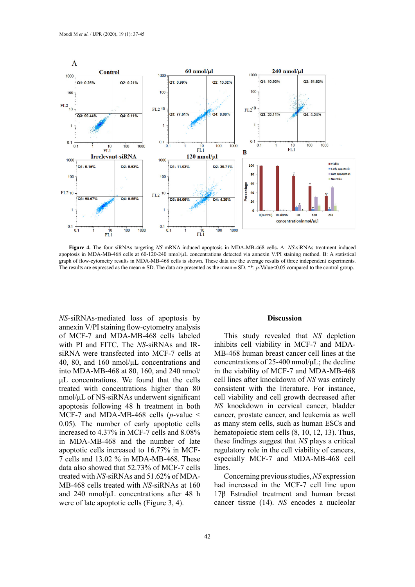

apoptosis in MDA-MB-468 cells at 60-120-240 nmol/µL concentrations detected via annexin V/PI staining method. B: A statistical The results are expressed as the mean  $\pm$  SD. The data are presented as the mean  $\pm$  SD. \*\*: p-Value<0.05 compared to the control group. **Figure 4.** The four siRNAs targeting *NS* mRNA induced apoptosis in MDA-MB-468 cells**.** A: *NS*-siRNAs treatment induced graph of flow-cytometry results in MDA-MB-468 cells is shown. These data are the average results of three independent experiments.

*NS*-siRNAs-mediated loss of apoptosis by annexin V/PI staining flow-cytometry analysis of MCF-7 and MDA-MB-468 cells labeled with PI and FITC. The *NS*-siRNAs and IRsiRNA were transfected into MCF-7 cells at 40, 80, and 160 nmol/μL concentrations and into MDA-MB-468 at 80, 160, and 240 nmol/ μL concentrations. We found that the cells treated with concentrations higher than 80 nmol/μL of NS-siRNAs underwent significant apoptosis following 48 h treatment in both MCF-7 and MDA-MB-468 cells (*p-*value < 0.05). The number of early apoptotic cells increased to 4.37% in MCF-7 cells and 8.08% in MDA-MB-468 and the number of late apoptotic cells increased to 16.77% in MCF-7 cells and 13.02 % in MDA-MB-468. These data also showed that 52.73% of MCF-7 cells treated with *NS*-siRNAs and 51.62% of MDA-MB-468 cells treated with *NS*-siRNAs at 160 and 240 nmol/μL concentrations after 48 h were of late apoptotic cells (Figure 3, 4).

#### **Discussion**

This study revealed that *NS* depletion inhibits cell viability in MCF-7 and MDA-MB-468 human breast cancer cell lines at the concentrations of 25-400 nmol/μL; the decline in the viability of MCF-7 and MDA-MB-468 cell lines after knockdown of *NS* was entirely consistent with the literature. For instance, cell viability and cell growth decreased after *NS* knockdown in cervical cancer, bladder cancer, prostate cancer, and leukemia as well as many stem cells, such as human ESCs and hematopoietic stem cells  $(8, 10, 12, 13)$ . Thus, these findings suggest that *NS* plays a critical regulatory role in the cell viability of cancers, especially MCF-7 and MDA-MB-468 cell lines.

Concerning previous studies, *NS* expression had increased in the MCF-7 cell line upon 17β Estradiol treatment and human breast cancer tissue (14). *NS* encodes a nucleolar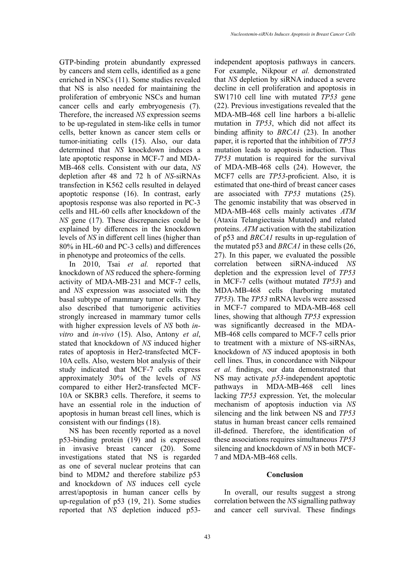GTP-binding protein abundantly expressed by cancers and stem cells, identified as a gene enriched in NSCs (11). Some studies revealed that NS is also needed for maintaining the proliferation of embryonic NSCs and human cancer cells and early embryogenesis (7). Therefore, the increased *NS* expression seems to be up-regulated in stem-like cells in tumor cells, better known as cancer stem cells or tumor-initiating cells (15). Also, our data determined that *NS* knockdown induces a late apoptotic response in MCF-7 and MDA-MB-468 cells. Consistent with our data, *NS* depletion after 48 and 72 h of *NS*-siRNAs transfection in K562 cells resulted in delayed apoptotic response (16). In contrast, early apoptosis response was also reported in PC-3 cells and HL-60 cells after knockdown of the *NS* gene (17). These discrepancies could be explained by differences in the knockdown levels of *NS* in different cell lines (higher than 80% in HL-60 and PC-3 cells) and differences in phenotype and proteomics of the cells.

In 2010, Tsai *et al.* reported that knockdown of *NS* reduced the sphere-forming activity of MDA-MB-231 and MCF-7 cells, and *NS* expression was associated with the basal subtype of mammary tumor cells. They also described that tumorigenic activities strongly increased in mammary tumor cells with higher expression levels of *NS* both *invitro* and *in-vivo* (15). Also, Antony *et al*, stated that knockdown of *NS* induced higher rates of apoptosis in Her2-transfected MCF-10A cells. Also, western blot analysis of their study indicated that MCF-7 cells express approximately 30% of the levels of *NS*  compared to either Her2-transfected MCF-10A or SKBR3 cells. Therefore, it seems to have an essential role in the induction of apoptosis in human breast cell lines, which is consistent with our findings (18).

NS has been recently reported as a novel p53-binding protein (19) and is expressed in invasive breast cancer (20). Some investigations stated that NS is regarded as one of several nuclear proteins that can bind to MDM*2* and therefore stabilize p53 and knockdown of *NS* induces cell cycle arrest/apoptosis in human cancer cells by up-regulation of p53 (19, 21). Some studies reported that *NS* depletion induced p53independent apoptosis pathways in cancers. For example, Nikpour *et al.* demonstrated that *NS* depletion by siRNA induced a severe decline in cell proliferation and apoptosis in SW1710 cell line with mutated *TP53* gene (22). Previous investigations revealed that the MDA-MB-468 cell line harbors a bi-allelic mutation in *TP53*, which did not affect its binding affinity to *BRCA1* (23). In another paper, it is reported that the inhibition of *TP53*  mutation leads to apoptosis induction. Thus *TP53* mutation is required for the survival of MDA-MB-468 cells (24). However, the MCF7 cells are *TP53*-proficient. Also, it is estimated that one-third of breast cancer cases are associated with *TP53* mutations (25). The genomic instability that was observed in MDA-MB-468 cells mainly activates *ATM* (Ataxia Telangiectasia Mutated) and related proteins. *ATM* activation with the stabilization of p53 and *BRCA1* results in up-regulation of the mutated p53 and *BRCA1* in these cells (26, 27). In this paper, we evaluated the possible correlation between siRNA-induced *NS* depletion and the expression level of *TP53*  in MCF-7 cells (without mutated *TP53*) and MDA-MB-468 cells (harboring mutated *TP53*). The *TP53* mRNA levels were assessed in MCF-7 compared to MDA-MB-468 cell lines, showing that although *TP53* expression was significantly decreased in the MDA-MB-468 cells compared to MCF-7 cells prior to treatment with a mixture of NS-siRNAs, knockdown of *NS* induced apoptosis in both cell lines. Thus, in concordance with Nikpour *et al.* findings, our data demonstrated that NS may activate *p53*-independent apoptotic pathways in MDA-MB-468 cell lines lacking *TP53* expression. Yet, the molecular mechanism of apoptosis induction via *NS* silencing and the link between NS and *TP53*  status in human breast cancer cells remained ill-defined. Therefore, the identification of these associations requires simultaneous *TP53*  silencing and knockdown of *NS* in both MCF-7 and MDA-MB-468 cells.

#### **Conclusion**

In overall, our results suggest a strong correlation between the *NS* signalling pathway and cancer cell survival. These findings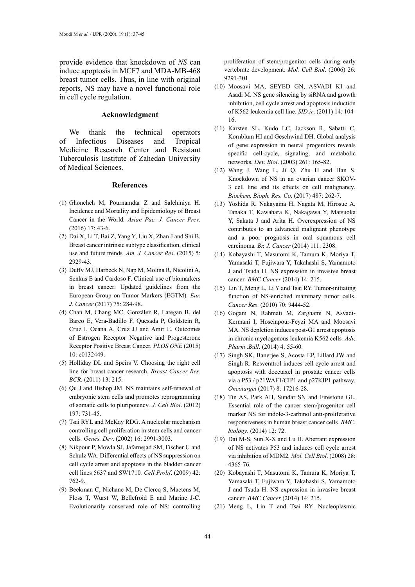provide evidence that knockdown of *NS* can induce apoptosis in MCF7 and MDA-MB-468 breast tumor cells. Thus, in line with original reports, NS may have a novel functional role in cell cycle regulation.

## **Acknowledgment**

We thank the technical operators of Infectious Diseases and Tropical Medicine Research Center and Resistant Tuberculosis Institute of Zahedan University of Medical Sciences.

#### **References**

- (1) Ghoncheh M, Pournamdar Z and Salehiniya H. Incidence and Mortality and Epidemiology of Breast Cancer in the World*. Asian Pac. J. Cancer Prev*. (2016) 17: 43-6.
- (2) Dai X, Li T, Bai Z, Yang Y, Liu X, Zhan J and Shi B. Breast cancer intrinsic subtype classification, clinical use and future trends*. Am. J. Cancer Res*. (2015) 5: 2929-43.
- (3) Duffy MJ, Harbeck N, Nap M, Molina R, Nicolini A, Senkus E and Cardoso F. Clinical use of biomarkers in breast cancer: Updated guidelines from the European Group on Tumor Markers (EGTM)*. Eur. J. Cancer* (2017) 75: 284-98.
- (4) Chan M, Chang MC, González R, Lategan B, del Barco E, Vera-Badillo F, Quesada P, Goldstein R, Cruz I, Ocana A, Cruz JJ and Amir E. Outcomes of Estrogen Receptor Negative and Progesterone Receptor Positive Breast Cancer*. PLOS ONE* (2015) 10: e0132449.
- (5) Holliday DL and Speirs V. Choosing the right cell line for breast cancer research*. Breast Cancer Res. BCR*. (2011) 13: 215.
- (6) Qu J and Bishop JM. NS maintains self-renewal of embryonic stem cells and promotes reprogramming of somatic cells to pluripotency*. J. Cell Biol*. (2012) 197: 731-45.
- (7) Tsai RYL and McKay RDG. A nucleolar mechanism controlling cell proliferation in stem cells and cancer cells*. Genes. Dev*. (2002) 16: 2991-3003.
- (8) Nikpour P, Mowla SJ, Jafarnejad SM, Fischer U and Schulz WA. Differential effects of NS suppression on cell cycle arrest and apoptosis in the bladder cancer cell lines 5637 and SW1710*. Cell Prolif*. (2009) 42: 762-9.
- (9) Beekman C, Nichane M, De Clercq S, Maetens M, Floss T, Wurst W, Bellefroid E and Marine J-C. Evolutionarily conserved role of NS: controlling

proliferation of stem/progenitor cells during early vertebrate development*. Mol. Cell Biol*. (2006) 26: 9291-301.

- (10) Moosavi MA, SEYED GN, ASVADI KI and Asadi M. NS gene silencing by siRNA and growth inhibition, cell cycle arrest and apoptosis induction of K562 leukemia cell line*. SID.ir*. (2011) 14: 104- 16.
- (11) Karsten SL, Kudo LC, Jackson R, Sabatti C, Kornblum HI and Geschwind DH. Global analysis of gene expression in neural progenitors reveals specific cell-cycle, signaling, and metabolic networks*. Dev. Biol*. (2003) 261: 165-82.
- (12) Wang J, Wang L, Ji Q, Zhu H and Han S. Knockdown of NS in an ovarian cancer SKOV-3 cell line and its effects on cell malignancy*. Biochem. Bioph. Res. Co*. (2017) 487: 262-7.
- (13) Yoshida R, Nakayama H, Nagata M, Hirosue A, Tanaka T, Kawahara K, Nakagawa Y, Matsuoka Y, Sakata J and Arita H. Overexpression of NS contributes to an advanced malignant phenotype and a poor prognosis in oral squamous cell carcinoma*. Br. J. Cancer* (2014) 111: 2308.
- (14) Kobayashi T, Masutomi K, Tamura K, Moriya T, Yamasaki T, Fujiwara Y, Takahashi S, Yamamoto J and Tsuda H. NS expression in invasive breast cancer*. BMC Cancer* (2014) 14: 215.
- (15) Lin T, Meng L, Li Y and Tsai RY. Tumor-initiating function of NS-enriched mammary tumor cells*. Cancer Res*. (2010) 70: 9444-52.
- (16) Gogani N, Rahmati M, Zarghami N, Asvadi-Kermani I, Hoseinpour-Feyzi MA and Moosavi MA. NS depletion induces post-G1 arrest apoptosis in chronic myelogenous leukemia K562 cells*. Adv. Pharm .Bull*. (2014) 4: 55-60.
- (17) Singh SK, Banerjee S, Acosta EP, Lillard JW and Singh R. Resveratrol induces cell cycle arrest and apoptosis with docetaxel in prostate cancer cells via a P53 / p21WAF1/CIP1 and p27KIP1 pathway*. Oncotarget* (2017) 8: 17216-28.
- (18) Tin AS, Park AH, Sundar SN and Firestone GL. Essential role of the cancer stem/progenitor cell marker NS for indole-3-carbinol anti-proliferative responsiveness in human breast cancer cells*. BMC. biology*. (2014) 12: 72.
- (19) Dai M-S, Sun X-X and Lu H. Aberrant expression of NS activates P53 and induces cell cycle arrest via inhibition of MDM2*. Mol. Cell Biol*. (2008) 28: 4365-76.
- (20) Kobayashi T, Masutomi K, Tamura K, Moriya T, Yamasaki T, Fujiwara Y, Takahashi S, Yamamoto J and Tsuda H. NS expression in invasive breast cancer*. BMC Cancer* (2014) 14: 215.
- (21) Meng L, Lin T and Tsai RY. Nucleoplasmic